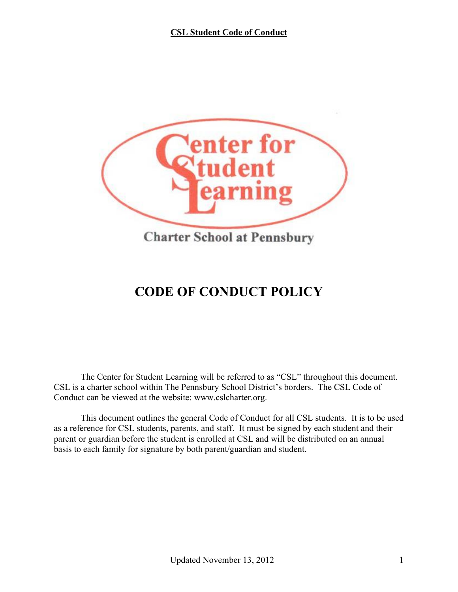

# **CODE OF CONDUCT POLICY**

The Center for Student Learning will be referred to as "CSL" throughout this document. CSL is a charter school within The Pennsbury School District's borders. The CSL Code of Conduct can be viewed at the website: www.cslcharter.org.

This document outlines the general Code of Conduct for all CSL students. It is to be used as a reference for CSL students, parents, and staff. It must be signed by each student and their parent or guardian before the student is enrolled at CSL and will be distributed on an annual basis to each family for signature by both parent/guardian and student.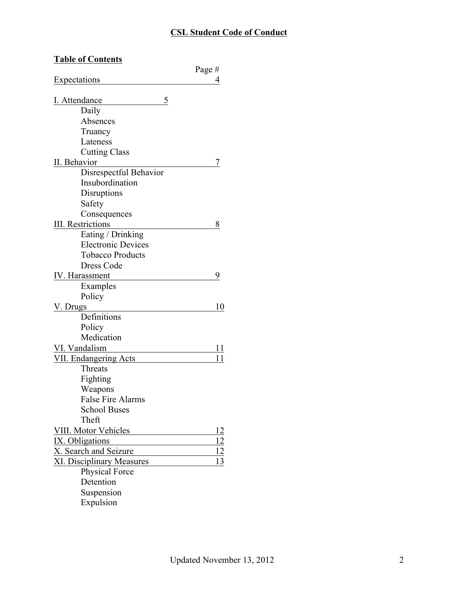| <b>Table of Contents</b>         |           |
|----------------------------------|-----------|
|                                  | Page#     |
| Expectations                     | 4         |
|                                  |           |
| 5<br>I. Attendance               |           |
| Daily                            |           |
| Absences                         |           |
| Truancy                          |           |
| Lateness                         |           |
| <b>Cutting Class</b>             |           |
| II. Behavior                     |           |
| Disrespectful Behavior           |           |
| Insubordination                  |           |
| Disruptions                      |           |
| Safety                           |           |
| Consequences                     |           |
| <b>III.</b> Restrictions         | 8         |
| Eating / Drinking                |           |
| <b>Electronic Devices</b>        |           |
| <b>Tobacco Products</b>          |           |
| Dress Code                       |           |
| IV. Harassment                   | 9         |
| Examples                         |           |
| Policy                           |           |
| V. Drugs                         | 10        |
| Definitions                      |           |
| Policy                           |           |
| Medication                       |           |
| VI. Vandalism                    | 11        |
| VII. Endangering Acts            | 11        |
| Threats                          |           |
| Fighting                         |           |
| Weapons                          |           |
| <b>False Fire Alarms</b>         |           |
| <b>School Buses</b>              |           |
| Theft                            |           |
| VIII. Motor Vehicles             | 12        |
| IX. Obligations                  | <u>12</u> |
| X. Search and Seizure            | 12        |
| <b>XI. Disciplinary Measures</b> | 13        |
| <b>Physical Force</b>            |           |
| Detention                        |           |
| Suspension                       |           |
| Expulsion                        |           |
|                                  |           |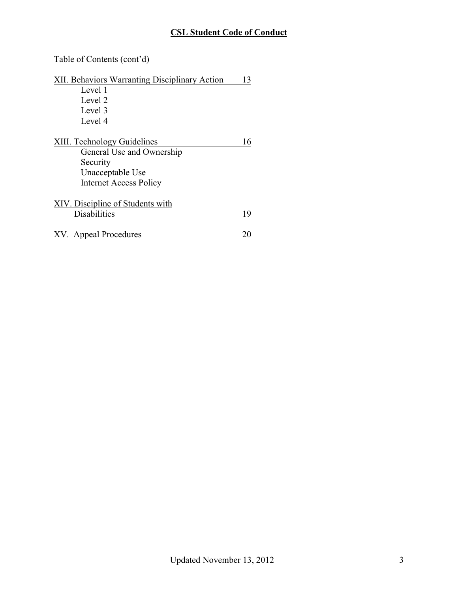Table of Contents (cont'd)

| XII. Behaviors Warranting Disciplinary Action | 13 |
|-----------------------------------------------|----|
| Level 1                                       |    |
| Level 2                                       |    |
| Level 3                                       |    |
| Level 4                                       |    |
| XIII. Technology Guidelines                   | 16 |
| General Use and Ownership                     |    |
| Security                                      |    |
| Unacceptable Use                              |    |
| <b>Internet Access Policy</b>                 |    |
| XIV. Discipline of Students with              |    |
| Disabilities                                  | 19 |
|                                               |    |
| XV. Appeal Procedures                         |    |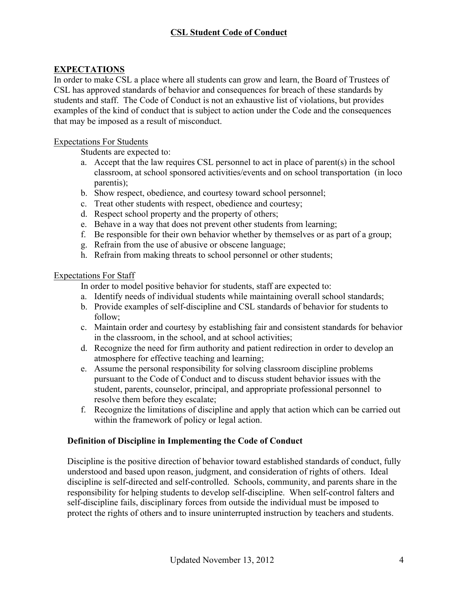### **EXPECTATIONS**

In order to make CSL a place where all students can grow and learn, the Board of Trustees of CSL has approved standards of behavior and consequences for breach of these standards by students and staff. The Code of Conduct is not an exhaustive list of violations, but provides examples of the kind of conduct that is subject to action under the Code and the consequences that may be imposed as a result of misconduct.

#### Expectations For Students

Students are expected to:

- a. Accept that the law requires CSL personnel to act in place of parent(s) in the school classroom, at school sponsored activities/events and on school transportation (in loco parentis);
- b. Show respect, obedience, and courtesy toward school personnel;
- c. Treat other students with respect, obedience and courtesy;
- d. Respect school property and the property of others;
- e. Behave in a way that does not prevent other students from learning;
- f. Be responsible for their own behavior whether by themselves or as part of a group;
- g. Refrain from the use of abusive or obscene language;
- h. Refrain from making threats to school personnel or other students;

#### Expectations For Staff

In order to model positive behavior for students, staff are expected to:

- a. Identify needs of individual students while maintaining overall school standards;
- b. Provide examples of self-discipline and CSL standards of behavior for students to follow;
- c. Maintain order and courtesy by establishing fair and consistent standards for behavior in the classroom, in the school, and at school activities;
- d. Recognize the need for firm authority and patient redirection in order to develop an atmosphere for effective teaching and learning;
- e. Assume the personal responsibility for solving classroom discipline problems pursuant to the Code of Conduct and to discuss student behavior issues with the student, parents, counselor, principal, and appropriate professional personnel to resolve them before they escalate;
- f. Recognize the limitations of discipline and apply that action which can be carried out within the framework of policy or legal action.

#### **Definition of Discipline in Implementing the Code of Conduct**

Discipline is the positive direction of behavior toward established standards of conduct, fully understood and based upon reason, judgment, and consideration of rights of others. Ideal discipline is self-directed and self-controlled. Schools, community, and parents share in the responsibility for helping students to develop self-discipline. When self-control falters and self-discipline fails, disciplinary forces from outside the individual must be imposed to protect the rights of others and to insure uninterrupted instruction by teachers and students.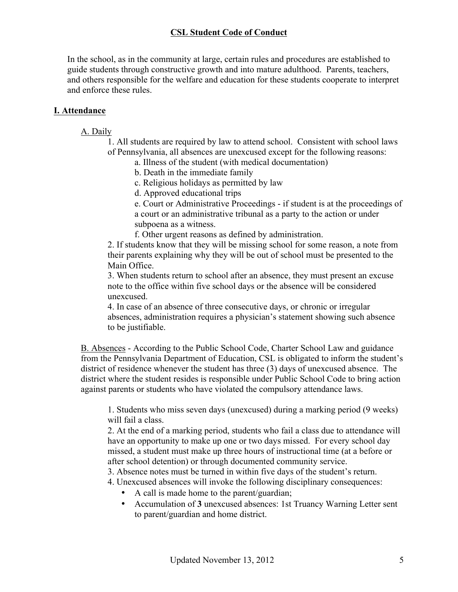In the school, as in the community at large, certain rules and procedures are established to guide students through constructive growth and into mature adulthood. Parents, teachers, and others responsible for the welfare and education for these students cooperate to interpret and enforce these rules.

### **I. Attendance**

#### A. Daily

- 1. All students are required by law to attend school. Consistent with school laws of Pennsylvania, all absences are unexcused except for the following reasons:
	- a. Illness of the student (with medical documentation)
	- b. Death in the immediate family
	- c. Religious holidays as permitted by law
	- d. Approved educational trips

e. Court or Administrative Proceedings - if student is at the proceedings of a court or an administrative tribunal as a party to the action or under subpoena as a witness.

f. Other urgent reasons as defined by administration.

2. If students know that they will be missing school for some reason, a note from their parents explaining why they will be out of school must be presented to the Main Office.

3. When students return to school after an absence, they must present an excuse note to the office within five school days or the absence will be considered unexcused.

4. In case of an absence of three consecutive days, or chronic or irregular absences, administration requires a physician's statement showing such absence to be justifiable.

B. Absences - According to the Public School Code, Charter School Law and guidance from the Pennsylvania Department of Education, CSL is obligated to inform the student's district of residence whenever the student has three (3) days of unexcused absence. The district where the student resides is responsible under Public School Code to bring action against parents or students who have violated the compulsory attendance laws.

1. Students who miss seven days (unexcused) during a marking period (9 weeks) will fail a class.

2. At the end of a marking period, students who fail a class due to attendance will have an opportunity to make up one or two days missed. For every school day missed, a student must make up three hours of instructional time (at a before or after school detention) or through documented community service.

- 3. Absence notes must be turned in within five days of the student's return.
- 4. Unexcused absences will invoke the following disciplinary consequences:
	- A call is made home to the parent/guardian;
	- Accumulation of **3** unexcused absences: 1st Truancy Warning Letter sent to parent/guardian and home district.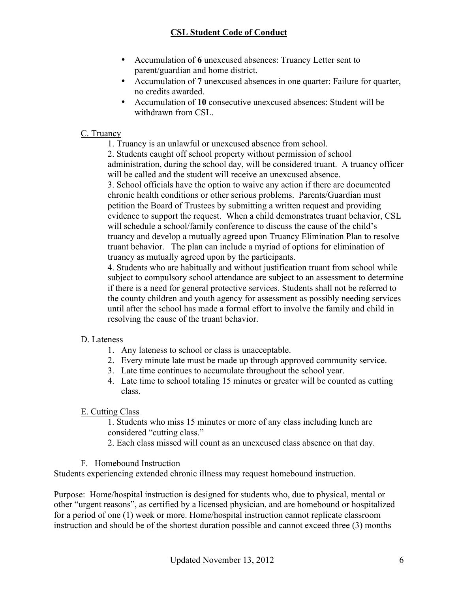- Accumulation of **6** unexcused absences: Truancy Letter sent to parent/guardian and home district.
- Accumulation of **7** unexcused absences in one quarter: Failure for quarter, no credits awarded.
- Accumulation of **10** consecutive unexcused absences: Student will be withdrawn from CSL.

### C. Truancy

1. Truancy is an unlawful or unexcused absence from school.

2. Students caught off school property without permission of school administration, during the school day, will be considered truant. A truancy officer will be called and the student will receive an unexcused absence.

3. School officials have the option to waive any action if there are documented chronic health conditions or other serious problems. Parents/Guardian must petition the Board of Trustees by submitting a written request and providing evidence to support the request. When a child demonstrates truant behavior, CSL will schedule a school/family conference to discuss the cause of the child's truancy and develop a mutually agreed upon Truancy Elimination Plan to resolve truant behavior. The plan can include a myriad of options for elimination of truancy as mutually agreed upon by the participants.

4. Students who are habitually and without justification truant from school while subject to compulsory school attendance are subject to an assessment to determine if there is a need for general protective services. Students shall not be referred to the county children and youth agency for assessment as possibly needing services until after the school has made a formal effort to involve the family and child in resolving the cause of the truant behavior.

### D. Lateness

- 1. Any lateness to school or class is unacceptable.
- 2. Every minute late must be made up through approved community service.
- 3. Late time continues to accumulate throughout the school year.
- 4. Late time to school totaling 15 minutes or greater will be counted as cutting class.

## E. Cutting Class

1. Students who miss 15 minutes or more of any class including lunch are considered "cutting class."

- 2. Each class missed will count as an unexcused class absence on that day.
- F. Homebound Instruction

Students experiencing extended chronic illness may request homebound instruction.

Purpose: Home/hospital instruction is designed for students who, due to physical, mental or other "urgent reasons", as certified by a licensed physician, and are homebound or hospitalized for a period of one (1) week or more. Home/hospital instruction cannot replicate classroom instruction and should be of the shortest duration possible and cannot exceed three (3) months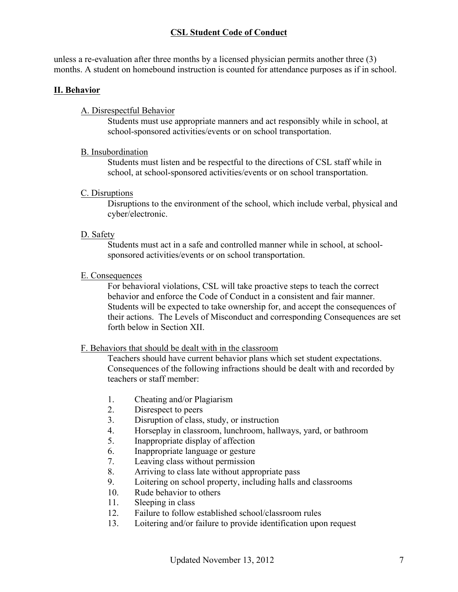unless a re-evaluation after three months by a licensed physician permits another three (3) months. A student on homebound instruction is counted for attendance purposes as if in school.

### **II. Behavior**

### A. Disrespectful Behavior

Students must use appropriate manners and act responsibly while in school, at school-sponsored activities/events or on school transportation.

#### B. Insubordination

Students must listen and be respectful to the directions of CSL staff while in school, at school-sponsored activities/events or on school transportation.

#### C. Disruptions

Disruptions to the environment of the school, which include verbal, physical and cyber/electronic.

### D. Safety

Students must act in a safe and controlled manner while in school, at schoolsponsored activities/events or on school transportation.

#### E. Consequences

For behavioral violations, CSL will take proactive steps to teach the correct behavior and enforce the Code of Conduct in a consistent and fair manner. Students will be expected to take ownership for, and accept the consequences of their actions. The Levels of Misconduct and corresponding Consequences are set forth below in Section XII.

### F. Behaviors that should be dealt with in the classroom

Teachers should have current behavior plans which set student expectations. Consequences of the following infractions should be dealt with and recorded by teachers or staff member:

- 1. Cheating and/or Plagiarism
- 2. Disrespect to peers
- 3. Disruption of class, study, or instruction
- 4. Horseplay in classroom, lunchroom, hallways, yard, or bathroom
- 5. Inappropriate display of affection
- 6. Inappropriate language or gesture
- 7. Leaving class without permission
- 8. Arriving to class late without appropriate pass
- 9. Loitering on school property, including halls and classrooms
- 10. Rude behavior to others
- 11. Sleeping in class
- 12. Failure to follow established school/classroom rules
- 13. Loitering and/or failure to provide identification upon request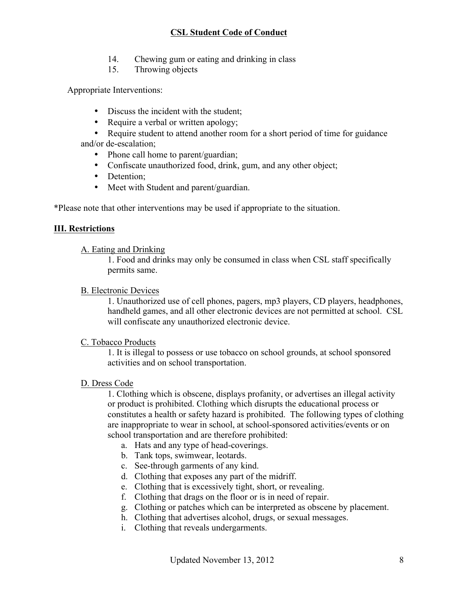- 14. Chewing gum or eating and drinking in class
- 15. Throwing objects

Appropriate Interventions:

- Discuss the incident with the student;
- Require a verbal or written apology;
- Require student to attend another room for a short period of time for guidance and/or de-escalation;
	- Phone call home to parent/guardian;
	- Confiscate unauthorized food, drink, gum, and any other object:
	- Detention;
	- Meet with Student and parent/guardian.

\*Please note that other interventions may be used if appropriate to the situation.

#### **III. Restrictions**

#### A. Eating and Drinking

1. Food and drinks may only be consumed in class when CSL staff specifically permits same.

#### B. Electronic Devices

1. Unauthorized use of cell phones, pagers, mp3 players, CD players, headphones, handheld games, and all other electronic devices are not permitted at school. CSL will confiscate any unauthorized electronic device.

#### C. Tobacco Products

1. It is illegal to possess or use tobacco on school grounds, at school sponsored activities and on school transportation.

#### D. Dress Code

1. Clothing which is obscene, displays profanity, or advertises an illegal activity or product is prohibited. Clothing which disrupts the educational process or constitutes a health or safety hazard is prohibited. The following types of clothing are inappropriate to wear in school, at school-sponsored activities/events or on school transportation and are therefore prohibited:

- a. Hats and any type of head-coverings.
- b. Tank tops, swimwear, leotards.
- c. See-through garments of any kind.
- d. Clothing that exposes any part of the midriff.
- e. Clothing that is excessively tight, short, or revealing.
- f. Clothing that drags on the floor or is in need of repair.
- g. Clothing or patches which can be interpreted as obscene by placement.
- h. Clothing that advertises alcohol, drugs, or sexual messages.
- i. Clothing that reveals undergarments.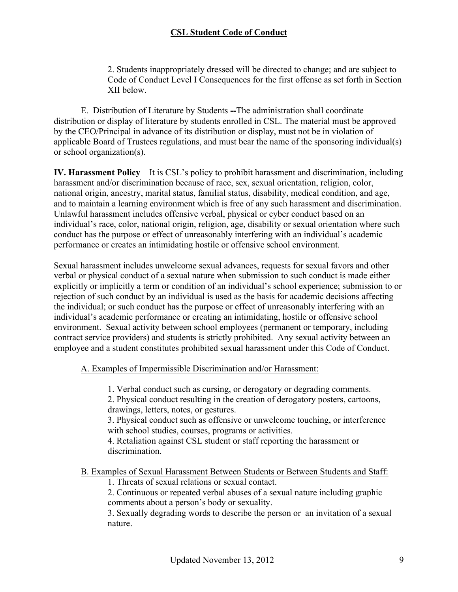2. Students inappropriately dressed will be directed to change; and are subject to Code of Conduct Level I Consequences for the first offense as set forth in Section XII below.

E. Distribution of Literature by Students **--**The administration shall coordinate distribution or display of literature by students enrolled in CSL. The material must be approved by the CEO/Principal in advance of its distribution or display, must not be in violation of applicable Board of Trustees regulations, and must bear the name of the sponsoring individual(s) or school organization(s).

**IV. Harassment Policy** – It is CSL's policy to prohibit harassment and discrimination, including harassment and/or discrimination because of race, sex, sexual orientation, religion, color, national origin, ancestry, marital status, familial status, disability, medical condition, and age, and to maintain a learning environment which is free of any such harassment and discrimination. Unlawful harassment includes offensive verbal, physical or cyber conduct based on an individual's race, color, national origin, religion, age, disability or sexual orientation where such conduct has the purpose or effect of unreasonably interfering with an individual's academic performance or creates an intimidating hostile or offensive school environment.

Sexual harassment includes unwelcome sexual advances, requests for sexual favors and other verbal or physical conduct of a sexual nature when submission to such conduct is made either explicitly or implicitly a term or condition of an individual's school experience; submission to or rejection of such conduct by an individual is used as the basis for academic decisions affecting the individual; or such conduct has the purpose or effect of unreasonably interfering with an individual's academic performance or creating an intimidating, hostile or offensive school environment. Sexual activity between school employees (permanent or temporary, including contract service providers) and students is strictly prohibited. Any sexual activity between an employee and a student constitutes prohibited sexual harassment under this Code of Conduct.

A. Examples of Impermissible Discrimination and/or Harassment:

1. Verbal conduct such as cursing, or derogatory or degrading comments.

2. Physical conduct resulting in the creation of derogatory posters, cartoons, drawings, letters, notes, or gestures.

3. Physical conduct such as offensive or unwelcome touching, or interference with school studies, courses, programs or activities.

4. Retaliation against CSL student or staff reporting the harassment or discrimination.

B. Examples of Sexual Harassment Between Students or Between Students and Staff:

1. Threats of sexual relations or sexual contact.

2. Continuous or repeated verbal abuses of a sexual nature including graphic comments about a person's body or sexuality.

3. Sexually degrading words to describe the person or an invitation of a sexual nature.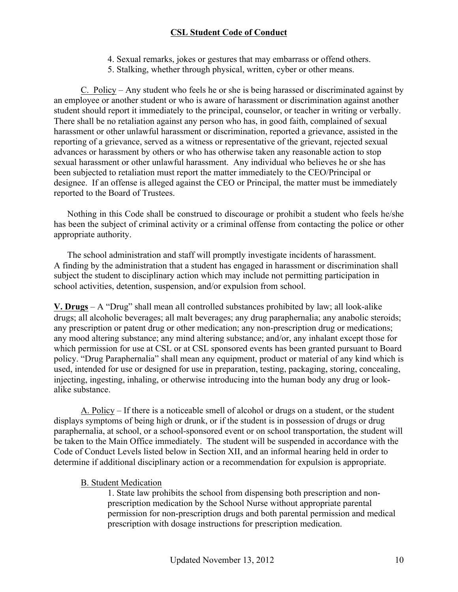- 4. Sexual remarks, jokes or gestures that may embarrass or offend others.
- 5. Stalking, whether through physical, written, cyber or other means.

C. Policy – Any student who feels he or she is being harassed or discriminated against by an employee or another student or who is aware of harassment or discrimination against another student should report it immediately to the principal, counselor, or teacher in writing or verbally. There shall be no retaliation against any person who has, in good faith, complained of sexual harassment or other unlawful harassment or discrimination, reported a grievance, assisted in the reporting of a grievance, served as a witness or representative of the grievant, rejected sexual advances or harassment by others or who has otherwise taken any reasonable action to stop sexual harassment or other unlawful harassment. Any individual who believes he or she has been subjected to retaliation must report the matter immediately to the CEO/Principal or designee. If an offense is alleged against the CEO or Principal, the matter must be immediately reported to the Board of Trustees.

Nothing in this Code shall be construed to discourage or prohibit a student who feels he/she has been the subject of criminal activity or a criminal offense from contacting the police or other appropriate authority.

The school administration and staff will promptly investigate incidents of harassment. A finding by the administration that a student has engaged in harassment or discrimination shall subject the student to disciplinary action which may include not permitting participation in school activities, detention, suspension, and/or expulsion from school.

**V. Drugs** – A "Drug" shall mean all controlled substances prohibited by law; all look-alike drugs; all alcoholic beverages; all malt beverages; any drug paraphernalia; any anabolic steroids; any prescription or patent drug or other medication; any non-prescription drug or medications; any mood altering substance; any mind altering substance; and/or, any inhalant except those for which permission for use at CSL or at CSL sponsored events has been granted pursuant to Board policy. "Drug Paraphernalia" shall mean any equipment, product or material of any kind which is used, intended for use or designed for use in preparation, testing, packaging, storing, concealing, injecting, ingesting, inhaling, or otherwise introducing into the human body any drug or lookalike substance.

A. Policy – If there is a noticeable smell of alcohol or drugs on a student, or the student displays symptoms of being high or drunk, or if the student is in possession of drugs or drug paraphernalia, at school, or a school-sponsored event or on school transportation, the student will be taken to the Main Office immediately. The student will be suspended in accordance with the Code of Conduct Levels listed below in Section XII, and an informal hearing held in order to determine if additional disciplinary action or a recommendation for expulsion is appropriate.

#### B. Student Medication

1. State law prohibits the school from dispensing both prescription and nonprescription medication by the School Nurse without appropriate parental permission for non-prescription drugs and both parental permission and medical prescription with dosage instructions for prescription medication.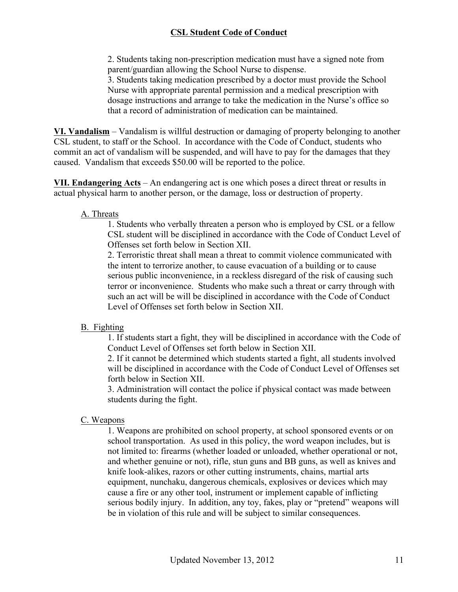2. Students taking non-prescription medication must have a signed note from parent/guardian allowing the School Nurse to dispense.

3. Students taking medication prescribed by a doctor must provide the School Nurse with appropriate parental permission and a medical prescription with dosage instructions and arrange to take the medication in the Nurse's office so that a record of administration of medication can be maintained.

**VI. Vandalism** – Vandalism is willful destruction or damaging of property belonging to another CSL student, to staff or the School. In accordance with the Code of Conduct, students who commit an act of vandalism will be suspended, and will have to pay for the damages that they caused. Vandalism that exceeds \$50.00 will be reported to the police.

**VII. Endangering Acts** – An endangering act is one which poses a direct threat or results in actual physical harm to another person, or the damage, loss or destruction of property.

#### A. Threats

1. Students who verbally threaten a person who is employed by CSL or a fellow CSL student will be disciplined in accordance with the Code of Conduct Level of Offenses set forth below in Section XII.

2. Terroristic threat shall mean a threat to commit violence communicated with the intent to terrorize another, to cause evacuation of a building or to cause serious public inconvenience, in a reckless disregard of the risk of causing such terror or inconvenience. Students who make such a threat or carry through with such an act will be will be disciplined in accordance with the Code of Conduct Level of Offenses set forth below in Section XII.

### B. Fighting

1. If students start a fight, they will be disciplined in accordance with the Code of Conduct Level of Offenses set forth below in Section XII.

2. If it cannot be determined which students started a fight, all students involved will be disciplined in accordance with the Code of Conduct Level of Offenses set forth below in Section XII.

3. Administration will contact the police if physical contact was made between students during the fight.

### C. Weapons

1. Weapons are prohibited on school property, at school sponsored events or on school transportation. As used in this policy, the word weapon includes, but is not limited to: firearms (whether loaded or unloaded, whether operational or not, and whether genuine or not), rifle, stun guns and BB guns, as well as knives and knife look-alikes, razors or other cutting instruments, chains, martial arts equipment, nunchaku, dangerous chemicals, explosives or devices which may cause a fire or any other tool, instrument or implement capable of inflicting serious bodily injury. In addition, any toy, fakes, play or "pretend" weapons will be in violation of this rule and will be subject to similar consequences.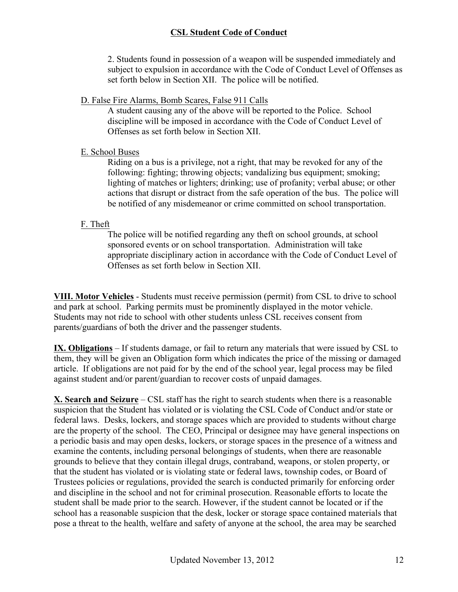2. Students found in possession of a weapon will be suspended immediately and subject to expulsion in accordance with the Code of Conduct Level of Offenses as set forth below in Section XII. The police will be notified.

### D. False Fire Alarms, Bomb Scares, False 911 Calls

A student causing any of the above will be reported to the Police. School discipline will be imposed in accordance with the Code of Conduct Level of Offenses as set forth below in Section XII.

### E. School Buses

Riding on a bus is a privilege, not a right, that may be revoked for any of the following: fighting; throwing objects; vandalizing bus equipment; smoking; lighting of matches or lighters; drinking; use of profanity; verbal abuse; or other actions that disrupt or distract from the safe operation of the bus. The police will be notified of any misdemeanor or crime committed on school transportation.

#### F. Theft

The police will be notified regarding any theft on school grounds, at school sponsored events or on school transportation. Administration will take appropriate disciplinary action in accordance with the Code of Conduct Level of Offenses as set forth below in Section XII.

**VIII. Motor Vehicles** - Students must receive permission (permit) from CSL to drive to school and park at school. Parking permits must be prominently displayed in the motor vehicle. Students may not ride to school with other students unless CSL receives consent from parents/guardians of both the driver and the passenger students.

**IX. Obligations** – If students damage, or fail to return any materials that were issued by CSL to them, they will be given an Obligation form which indicates the price of the missing or damaged article. If obligations are not paid for by the end of the school year, legal process may be filed against student and/or parent/guardian to recover costs of unpaid damages.

**X. Search and Seizure** – CSL staff has the right to search students when there is a reasonable suspicion that the Student has violated or is violating the CSL Code of Conduct and/or state or federal laws. Desks, lockers, and storage spaces which are provided to students without charge are the property of the school. The CEO, Principal or designee may have general inspections on a periodic basis and may open desks, lockers, or storage spaces in the presence of a witness and examine the contents, including personal belongings of students, when there are reasonable grounds to believe that they contain illegal drugs, contraband, weapons, or stolen property, or that the student has violated or is violating state or federal laws, township codes, or Board of Trustees policies or regulations, provided the search is conducted primarily for enforcing order and discipline in the school and not for criminal prosecution. Reasonable efforts to locate the student shall be made prior to the search. However, if the student cannot be located or if the school has a reasonable suspicion that the desk, locker or storage space contained materials that pose a threat to the health, welfare and safety of anyone at the school, the area may be searched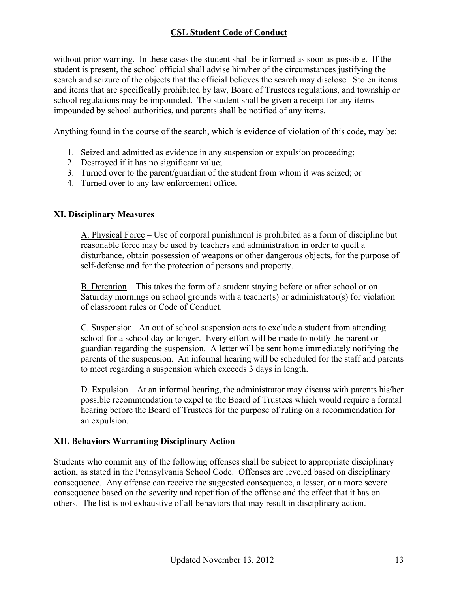without prior warning. In these cases the student shall be informed as soon as possible. If the student is present, the school official shall advise him/her of the circumstances justifying the search and seizure of the objects that the official believes the search may disclose. Stolen items and items that are specifically prohibited by law, Board of Trustees regulations, and township or school regulations may be impounded. The student shall be given a receipt for any items impounded by school authorities, and parents shall be notified of any items.

Anything found in the course of the search, which is evidence of violation of this code, may be:

- 1. Seized and admitted as evidence in any suspension or expulsion proceeding;
- 2. Destroyed if it has no significant value;
- 3. Turned over to the parent/guardian of the student from whom it was seized; or
- 4. Turned over to any law enforcement office.

#### **XI. Disciplinary Measures**

A. Physical Force – Use of corporal punishment is prohibited as a form of discipline but reasonable force may be used by teachers and administration in order to quell a disturbance, obtain possession of weapons or other dangerous objects, for the purpose of self-defense and for the protection of persons and property.

B. Detention – This takes the form of a student staying before or after school or on Saturday mornings on school grounds with a teacher(s) or administrator(s) for violation of classroom rules or Code of Conduct.

C. Suspension –An out of school suspension acts to exclude a student from attending school for a school day or longer. Every effort will be made to notify the parent or guardian regarding the suspension. A letter will be sent home immediately notifying the parents of the suspension. An informal hearing will be scheduled for the staff and parents to meet regarding a suspension which exceeds 3 days in length.

D. Expulsion – At an informal hearing, the administrator may discuss with parents his/her possible recommendation to expel to the Board of Trustees which would require a formal hearing before the Board of Trustees for the purpose of ruling on a recommendation for an expulsion.

#### **XII. Behaviors Warranting Disciplinary Action**

Students who commit any of the following offenses shall be subject to appropriate disciplinary action, as stated in the Pennsylvania School Code. Offenses are leveled based on disciplinary consequence. Any offense can receive the suggested consequence, a lesser, or a more severe consequence based on the severity and repetition of the offense and the effect that it has on others. The list is not exhaustive of all behaviors that may result in disciplinary action.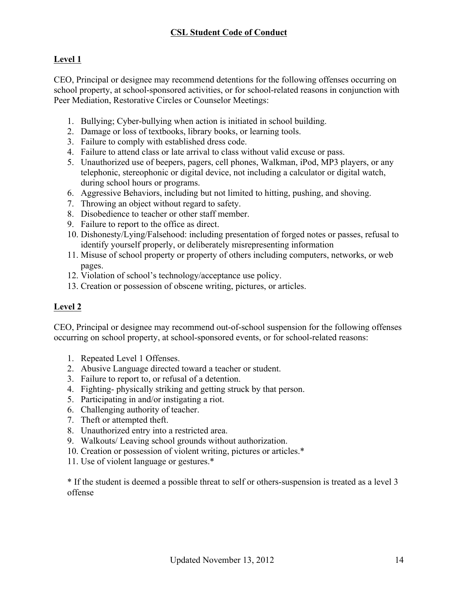# **Level 1**

CEO, Principal or designee may recommend detentions for the following offenses occurring on school property, at school-sponsored activities, or for school-related reasons in conjunction with Peer Mediation, Restorative Circles or Counselor Meetings:

- 1. Bullying; Cyber-bullying when action is initiated in school building.
- 2. Damage or loss of textbooks, library books, or learning tools.
- 3. Failure to comply with established dress code.
- 4. Failure to attend class or late arrival to class without valid excuse or pass.
- 5. Unauthorized use of beepers, pagers, cell phones, Walkman, iPod, MP3 players, or any telephonic, stereophonic or digital device, not including a calculator or digital watch, during school hours or programs.
- 6. Aggressive Behaviors, including but not limited to hitting, pushing, and shoving.
- 7. Throwing an object without regard to safety.
- 8. Disobedience to teacher or other staff member.
- 9. Failure to report to the office as direct.
- 10. Dishonesty/Lying/Falsehood: including presentation of forged notes or passes, refusal to identify yourself properly, or deliberately misrepresenting information
- 11. Misuse of school property or property of others including computers, networks, or web pages.
- 12. Violation of school's technology/acceptance use policy.
- 13. Creation or possession of obscene writing, pictures, or articles.

# **Level 2**

CEO, Principal or designee may recommend out-of-school suspension for the following offenses occurring on school property, at school-sponsored events, or for school-related reasons:

- 1. Repeated Level 1 Offenses.
- 2. Abusive Language directed toward a teacher or student.
- 3. Failure to report to, or refusal of a detention.
- 4. Fighting- physically striking and getting struck by that person.
- 5. Participating in and/or instigating a riot.
- 6. Challenging authority of teacher.
- 7. Theft or attempted theft.
- 8. Unauthorized entry into a restricted area.
- 9. Walkouts/ Leaving school grounds without authorization.
- 10. Creation or possession of violent writing, pictures or articles.\*
- 11. Use of violent language or gestures.\*

\* If the student is deemed a possible threat to self or others-suspension is treated as a level 3 offense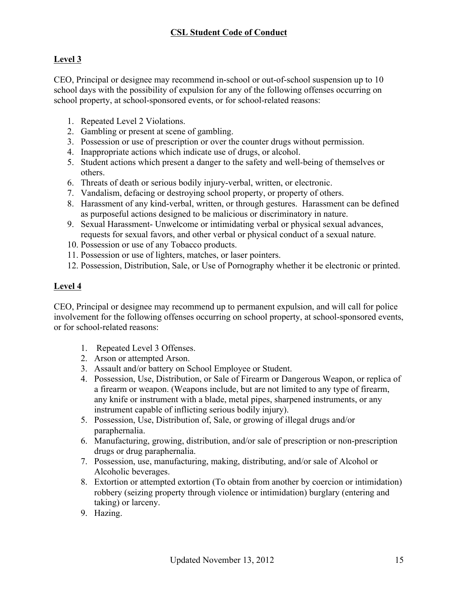# **Level 3**

CEO, Principal or designee may recommend in-school or out-of-school suspension up to 10 school days with the possibility of expulsion for any of the following offenses occurring on school property, at school-sponsored events, or for school-related reasons:

- 1. Repeated Level 2 Violations.
- 2. Gambling or present at scene of gambling.
- 3. Possession or use of prescription or over the counter drugs without permission.
- 4. Inappropriate actions which indicate use of drugs, or alcohol.
- 5. Student actions which present a danger to the safety and well-being of themselves or others.
- 6. Threats of death or serious bodily injury-verbal, written, or electronic.
- 7. Vandalism, defacing or destroying school property, or property of others.
- 8. Harassment of any kind-verbal, written, or through gestures. Harassment can be defined as purposeful actions designed to be malicious or discriminatory in nature.
- 9. Sexual Harassment- Unwelcome or intimidating verbal or physical sexual advances, requests for sexual favors, and other verbal or physical conduct of a sexual nature.
- 10. Possession or use of any Tobacco products.
- 11. Possession or use of lighters, matches, or laser pointers.
- 12. Possession, Distribution, Sale, or Use of Pornography whether it be electronic or printed.

## **Level 4**

CEO, Principal or designee may recommend up to permanent expulsion, and will call for police involvement for the following offenses occurring on school property, at school-sponsored events, or for school-related reasons:

- 1. Repeated Level 3 Offenses.
- 2. Arson or attempted Arson.
- 3. Assault and/or battery on School Employee or Student.
- 4. Possession, Use, Distribution, or Sale of Firearm or Dangerous Weapon, or replica of a firearm or weapon. (Weapons include, but are not limited to any type of firearm, any knife or instrument with a blade, metal pipes, sharpened instruments, or any instrument capable of inflicting serious bodily injury).
- 5. Possession, Use, Distribution of, Sale, or growing of illegal drugs and/or paraphernalia.
- 6. Manufacturing, growing, distribution, and/or sale of prescription or non-prescription drugs or drug paraphernalia.
- 7. Possession, use, manufacturing, making, distributing, and/or sale of Alcohol or Alcoholic beverages.
- 8. Extortion or attempted extortion (To obtain from another by coercion or intimidation) robbery (seizing property through violence or intimidation) burglary (entering and taking) or larceny.
- 9. Hazing.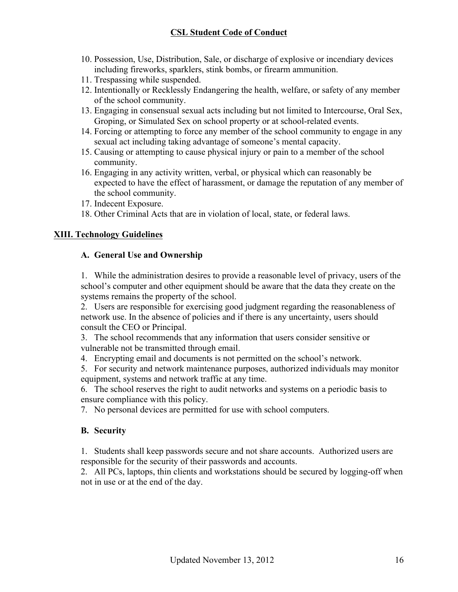- 10. Possession, Use, Distribution, Sale, or discharge of explosive or incendiary devices including fireworks, sparklers, stink bombs, or firearm ammunition.
- 11. Trespassing while suspended.
- 12. Intentionally or Recklessly Endangering the health, welfare, or safety of any member of the school community.
- 13. Engaging in consensual sexual acts including but not limited to Intercourse, Oral Sex, Groping, or Simulated Sex on school property or at school-related events.
- 14. Forcing or attempting to force any member of the school community to engage in any sexual act including taking advantage of someone's mental capacity.
- 15. Causing or attempting to cause physical injury or pain to a member of the school community.
- 16. Engaging in any activity written, verbal, or physical which can reasonably be expected to have the effect of harassment, or damage the reputation of any member of the school community.
- 17. Indecent Exposure.
- 18. Other Criminal Acts that are in violation of local, state, or federal laws.

## **XIII. Technology Guidelines**

## **A. General Use and Ownership**

1. While the administration desires to provide a reasonable level of privacy, users of the school's computer and other equipment should be aware that the data they create on the systems remains the property of the school.

2. Users are responsible for exercising good judgment regarding the reasonableness of network use. In the absence of policies and if there is any uncertainty, users should consult the CEO or Principal.

3. The school recommends that any information that users consider sensitive or vulnerable not be transmitted through email.

4. Encrypting email and documents is not permitted on the school's network.

5. For security and network maintenance purposes, authorized individuals may monitor equipment, systems and network traffic at any time.

6. The school reserves the right to audit networks and systems on a periodic basis to ensure compliance with this policy.

7. No personal devices are permitted for use with school computers.

## **B. Security**

1. Students shall keep passwords secure and not share accounts. Authorized users are responsible for the security of their passwords and accounts.

2. All PCs, laptops, thin clients and workstations should be secured by logging-off when not in use or at the end of the day.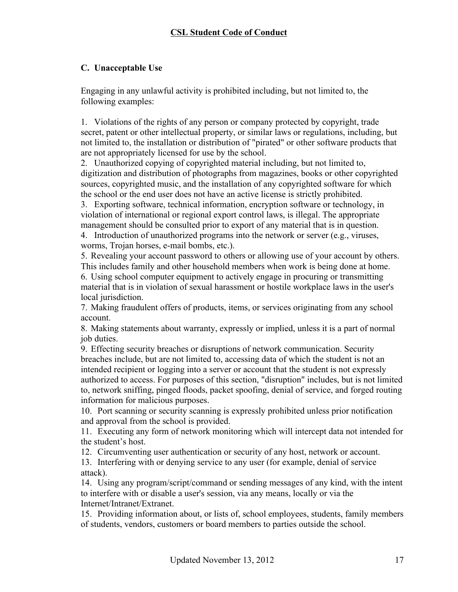## **C. Unacceptable Use**

Engaging in any unlawful activity is prohibited including, but not limited to, the following examples:

1. Violations of the rights of any person or company protected by copyright, trade secret, patent or other intellectual property, or similar laws or regulations, including, but not limited to, the installation or distribution of "pirated" or other software products that are not appropriately licensed for use by the school.

2. Unauthorized copying of copyrighted material including, but not limited to, digitization and distribution of photographs from magazines, books or other copyrighted sources, copyrighted music, and the installation of any copyrighted software for which the school or the end user does not have an active license is strictly prohibited.

3. Exporting software, technical information, encryption software or technology, in violation of international or regional export control laws, is illegal. The appropriate management should be consulted prior to export of any material that is in question.

4. Introduction of unauthorized programs into the network or server (e.g., viruses, worms, Trojan horses, e-mail bombs, etc.).

5. Revealing your account password to others or allowing use of your account by others. This includes family and other household members when work is being done at home.

6. Using school computer equipment to actively engage in procuring or transmitting material that is in violation of sexual harassment or hostile workplace laws in the user's local jurisdiction.

7. Making fraudulent offers of products, items, or services originating from any school account.

8. Making statements about warranty, expressly or implied, unless it is a part of normal job duties.

9. Effecting security breaches or disruptions of network communication. Security breaches include, but are not limited to, accessing data of which the student is not an intended recipient or logging into a server or account that the student is not expressly authorized to access. For purposes of this section, "disruption" includes, but is not limited to, network sniffing, pinged floods, packet spoofing, denial of service, and forged routing information for malicious purposes.

10. Port scanning or security scanning is expressly prohibited unless prior notification and approval from the school is provided.

11. Executing any form of network monitoring which will intercept data not intended for the student's host.

12. Circumventing user authentication or security of any host, network or account.

13. Interfering with or denying service to any user (for example, denial of service attack).

14. Using any program/script/command or sending messages of any kind, with the intent to interfere with or disable a user's session, via any means, locally or via the Internet/Intranet/Extranet.

15. Providing information about, or lists of, school employees, students, family members of students, vendors, customers or board members to parties outside the school.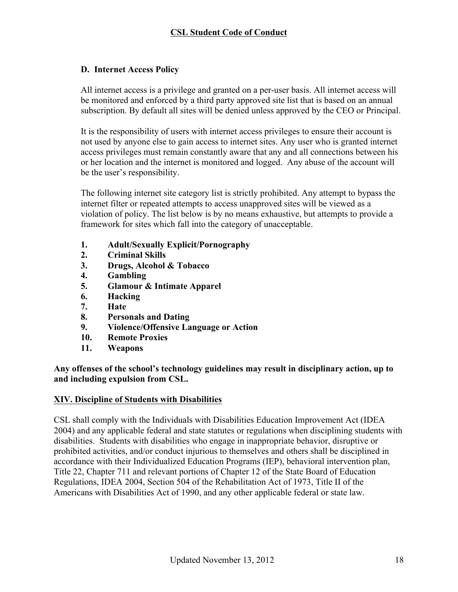### **D. Internet Access Policy**

All internet access is a privilege and granted on a per-user basis. All internet access will be monitored and enforced by a third party approved site list that is based on an annual subscription. By default all sites will be denied unless approved by the CEO or Principal.

It is the responsibility of users with internet access privileges to ensure their account is not used by anyone else to gain access to internet sites. Any user who is granted internet access privileges must remain constantly aware that any and all connections between his or her location and the internet is monitored and logged. Any abuse of the account will be the user's responsibility.

The following internet site category list is strictly prohibited. Any attempt to bypass the internet filter or repeated attempts to access unapproved sites will be viewed as a violation of policy. The list below is by no means exhaustive, but attempts to provide a framework for sites which fall into the category of unacceptable.

- **1. Adult/Sexually Explicit/Pornography**
- **2. Criminal Skills**
- **3. Drugs, Alcohol & Tobacco**
- **4. Gambling**
- **5. Glamour & Intimate Apparel**
- **6. Hacking**
- **7. Hate**
- **8. Personals and Dating**
- **9. Violence/Offensive Language or Action**
- **10. Remote Proxies**
- **11. Weapons**

**Any offenses of the school's technology guidelines may result in disciplinary action, up to and including expulsion from CSL.**

### **XIV. Discipline of Students with Disabilities**

CSL shall comply with the Individuals with Disabilities Education Improvement Act (IDEA 2004) and any applicable federal and state statutes or regulations when disciplining students with disabilities. Students with disabilities who engage in inappropriate behavior, disruptive or prohibited activities, and/or conduct injurious to themselves and others shall be disciplined in accordance with their Individualized Education Programs (IEP), behavioral intervention plan, Title 22, Chapter 711 and relevant portions of Chapter 12 of the State Board of Education Regulations, IDEA 2004, Section 504 of the Rehabilitation Act of 1973, Title II of the Americans with Disabilities Act of 1990, and any other applicable federal or state law.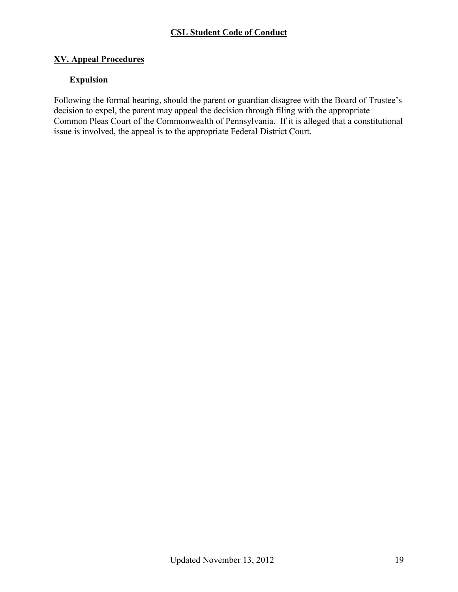### **XV. Appeal Procedures**

# **Expulsion**

Following the formal hearing, should the parent or guardian disagree with the Board of Trustee's decision to expel, the parent may appeal the decision through filing with the appropriate Common Pleas Court of the Commonwealth of Pennsylvania. If it is alleged that a constitutional issue is involved, the appeal is to the appropriate Federal District Court.